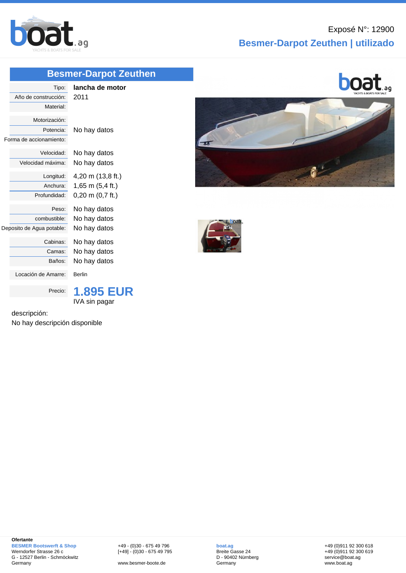

## **Besmer-Darpot Zeuthen | utilizado**

## **[Besmer-D](http://www.boat.ag/)arpot Zeuthen**

| Tipo:<br>Año de construcción:<br>Material:            | lancha de motor<br>2011             |
|-------------------------------------------------------|-------------------------------------|
| Motorización:<br>Potencia:<br>Forma de accionamiento: | No hay datos                        |
| Velocidad:                                            | No hay datos                        |
| Velocidad máxima:                                     | No hay datos                        |
| Longitud:                                             | 4,20 m (13,8 ft.)                   |
| Anchura:                                              | 1,65 m $(5,4$ ft.)                  |
| Profundidad:                                          | $0,20 \text{ m } (0,7 \text{ ft.})$ |
| Peso:                                                 | No hay datos                        |
| combustible:                                          | No hay datos                        |
| Deposito de Agua potable:                             | No hay datos                        |
| Cabinas:                                              | No hay datos                        |
| Camas:                                                | No hay datos                        |
| Baños:                                                | No hay datos                        |
| Locación de Amarre:                                   | <b>Berlin</b>                       |
| Precio:                                               | <b>1.895 EUR</b><br>IVA sin pagar   |

descripción:

No hay descripción disponible





+49 - (0)30 - 675 49 796 [+49] - (0)30 - 675 49 795

www.besmer-boote.de

**boat.ag** Breite Gasse 24 D - 90402 Nürnberg Germany

+49 (0)911 92 300 618 +49 (0)911 92 300 619 service@boat.ag www.boat.ag